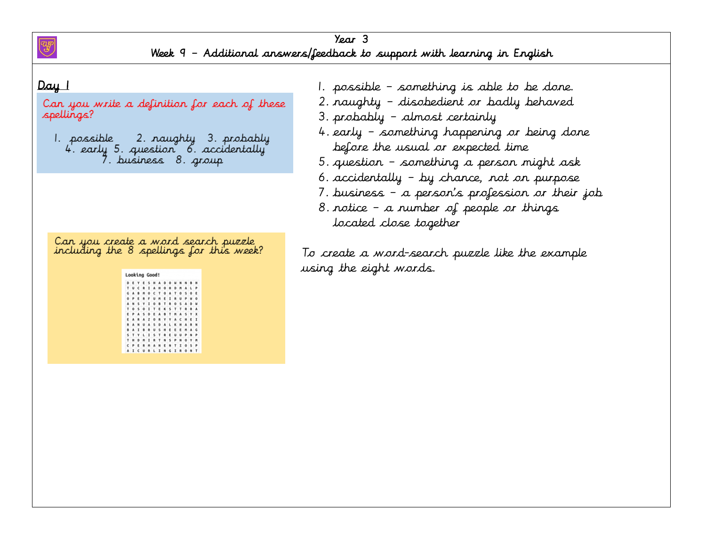

Can you write a definition for each of these spellings?

1. possible 2. naughty 3. probably 4. early 5. question 6. accidentally 9. business 8. group

Can you create a word search puzzle<br>including the 8 spellings for this week?

| D | к | ٧ | ٠            | s | н       | A | D | ۰ |   | N  | N            |   | н |
|---|---|---|--------------|---|---------|---|---|---|---|----|--------------|---|---|
| т | U | c | R            | I | А       | н | ٥ | Ħ | D | Ħ  | A            | ı | p |
| G | A |   | $\mathbf{M}$ | Ō | c       | т | ٥ | A | T | ٥  | s            | Ō | E |
| ۰ | Þ |   |              |   | u       | м | E | I | R | U  | p            | м | o |
|   | N | s | Y            | I | ٥       | B | т | 量 | ٥ | s  | A            | ۵ | W |
| т | ۰ | s | $\circ$      | I | т       | я | ĸ | s | т | т  | ₽            |   | A |
| Е | Þ | A | s            | D | E       | ٨ | B | т | M | ۸  | s            | ٧ | x |
| Ε | A | R | А            | z | $\circ$ | R | γ | γ | A | c  | H            | Ε | I |
|   | A | N | u            | A | s       | ۰ | A | ι | к | Ħ  | ٨            | ٠ | N |
| ٠ | A | ı | n            | 象 | U       | s | N | t | ε | f. | $\mathbb{M}$ | A | Ĝ |
| s | т | ٧ | ι            | 1 | s       | т | R | E | U | U  | Þ            | N | ø |
| т | н | D | M            | I | 良       | T | N | s | P | N  | O            | v | M |
|   | ₽ |   |              |   | ٠       | м | E | N | т | I  | o            | s | P |
|   | I |   | u            |   | L       | х | N | G | х |    | 0            | N | т |

- 1. possible something is able to be done.
- 2. naughty disobedient or badly behaved
- 3. probably almost certainly
- 4. early something happening or being done before the usual or expected time
- 5. question something a person might ask
- 6. accidentally by chance, not on purpose
- 7. business a person's profession or their job
- 8. notice a number of people or things located close together

To create a word-search puzzle like the example using the eight words.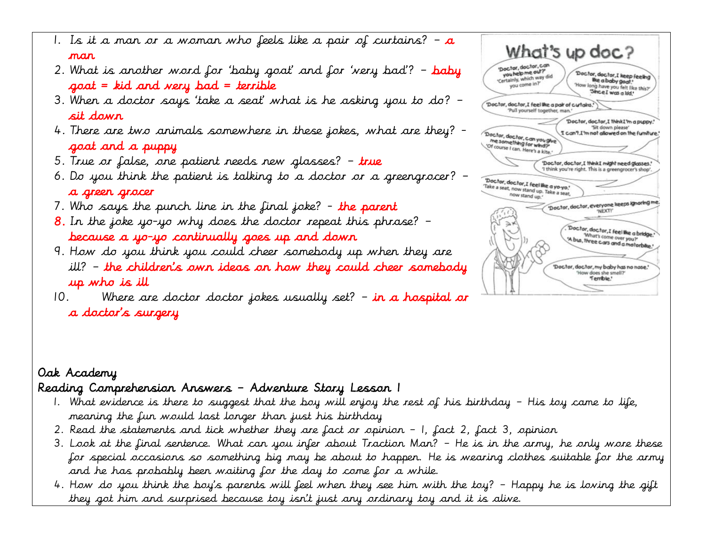- 1. Is it a man or a woman who feels like a pair of curtains?  $a$ man
- 2. What is another word for 'baby goat' and for 'very bad'?  $-$  baby  $q$ oat = kid and very bad = terrible
- 3. When a doctor says 'take a seat' what is he asking you to do? sit down
- 4. There are two animals somewhere in these jokes, what are they? goat and a puppy
- 5. True or false, one patient needs new glasses?  $-$  true
- 6. Do you think the patient is talking to a doctor or a greengrocer? a green grocer
- 7. Who says the punch line in the final joke?  $-$  the parent
- **8.** In the joke yo-yo why does the doctor repeat this phrase?  $$ because a yo-yo continually goes up and down
- 9. How do you think you could cheer somebody up when they are ill? – the children's own ideas on how they could cheer somebody up who is ill
- 10. Where are doctor doctor jokes usually set?  $-$  in a hospital or a doctor's surgery

|                                                                                                    | What's up doc?                                                                                                   |
|----------------------------------------------------------------------------------------------------|------------------------------------------------------------------------------------------------------------------|
| 'Doctor, doctor, can<br>you help me out?<br>'Certainly, which way did<br>you come in?"             | Doctor, doctor, I keep feeling<br>We a baby goat!<br>'How long have you felt like this?'<br>"Since I was a ldd." |
|                                                                                                    | 'Doctor, doctor, I feel the a pair of curtains.'<br>'Pull yourself together, man.'                               |
| Doctor, doctor, can you give<br>me something for wind?<br>'Of course I can. Here's a kite.'        | 'Doctor, doctor, I think I'm a puppy.'<br>"Sit down please"<br>I can't.I'm not allowed on the furniture.'        |
|                                                                                                    | 'Doctor, doctor, I think I might need glasses.'                                                                  |
| Doctor, doctor, I feel the a yo-yo."<br>'Take a seat, now stand up. Take a seat,<br>now stand up.' | 'I think you're right. This is a greengrocer's shop'.                                                            |
|                                                                                                    | Doctor, doctor, everyone keeps ignoring me<br>'NEXT!'                                                            |
| ) j                                                                                                | 'Doctor, doctor, I feel like a bridge.'<br>What's come over you?'<br>'A bus, three cars and a motorbike.'        |
|                                                                                                    | 'Doctor, doctor, my baby has no nose.'<br>'How does she smell?'<br>Terrible."                                    |

## Oak Academy Reading Comprehension Answers – Adventure Story Lesson 1

- 1. What evidence is there to suggest that the boy will enjoy the rest of his birthday His toy came to life, meaning the fun would last longer than just his birthday
- 2. Read the statements and tick whether they are fact or opinion 1, fact 2, fact 3, opinion
- 3. Look at the final sentence. What can you infer about Traction Man? He is in the army, he only wore these for special occasions so something big may be about to happen. He is wearing clothes suitable for the army and he has probably been waiting for the day to come for a while.
- 4. How do you think the boy's parents will feel when they see him with the toy? Happy he is loving the gift they got him and surprised because toy isn't just any ordinary toy and it is alive.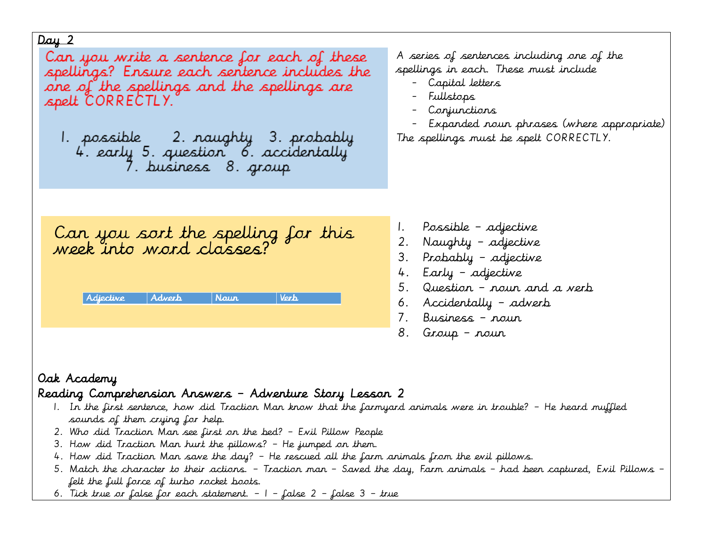Can you write a sentence for each of these spellings? Ensure each sentence includes the one of the spellings and the spellings are spelt CORRECTLY.

A series of sentences including one of the spellings in each. These must include

- Capital letters
- Fullstops
- Conjunctions
- Expanded noun phrases (where appropriate) The spellings must be spelt CORRECTLY.

Can you sort the spelling for this<br>week into word classes?

| Adjective | <i>Advert</i> | Naur | Verh. |
|-----------|---------------|------|-------|
|           |               |      |       |

- 1. Possible adjective
- 2. Naughty adjective
- 3. Probably adjective
- 4. Early adjective
- 5. Question noun and a verb
- 6. Accidentally adverb
- 7. Business noun
- 8. Group noun

### Oak Academy Reading Comprehension Answers – Adventure Story Lesson 2

- 1. In the first sentence, how did Traction Man know that the farmyard animals were in trouble? He heard muffled sounds of them crying for help.
- 2. Who did Traction Man see first on the bed? Evil Pillow People
- 3. How did Traction Man hurt the pillows? He jumped on them.
- 4. How did Traction Man save the day? He rescued all the farm animals from the evil pillows.
- 5. Match the character to their actions. Traction man Saved the day, Farm animals had been captured, Evil Pillows felt the full force of turbo rocket boots.
- 6. Tick true or false for each statement. 1 false 2 false 3 true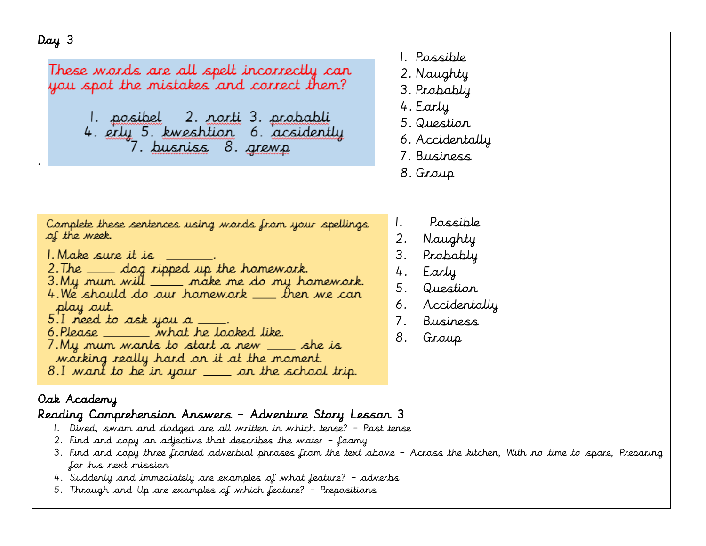.

These words are all spelt incorrectly can you spot the mistakes and correct them? <u>l. posibel – 2. norti</u> 3. <u>probabli</u>

4. erly 5. kweshtion 6. acsidently 7. busniss 8. grewp

- 1. Possible
- 2. Naughty
- 3. Probably
- 4. Early
- 5. Question
- 6. Accidentally
- 7. Business
- 8. Group

Complete these sentences using words from your spellings of the week.

- 1. Make sure it is
- 
- 2. The \_\_\_ dog ripped up the homework.<br>3. My mum will \_\_\_\_ make me do my homework.
- 4. We should do our homework \_ \_ then we can play out.
- $5.1$  need to ask you a
- 6. Please \_\_\_\_\_\_\_ what he looked like.
- 7. My mum wants to start a new \_\_\_\_ she is working really hard on it at the moment.
- 8.I want to be in your <u>\_\_</u>\_\_ on the school trip.
- Oak Academy

# Reading Comprehension Answers – Adventure Story Lesson 3

- 1. Dived, swam and dodged are all written in which tense? Past tense
- 2. Find and copy an adjective that describes the water foamy
- 3. Find and copy three fronted adverbial phrases from the text above Across the kitchen, With no time to spare, Preparing for his next mission
- 4. Suddenly and immediately are examples of what feature? adverbs
- 5. Through and Up are examples of which feature? Prepositions
- 1. Possible
- 2. Naughty
- 3. Probably
- 4. Early
- 5. Question
- 6. Accidentally
- 7. Business
- 8. Group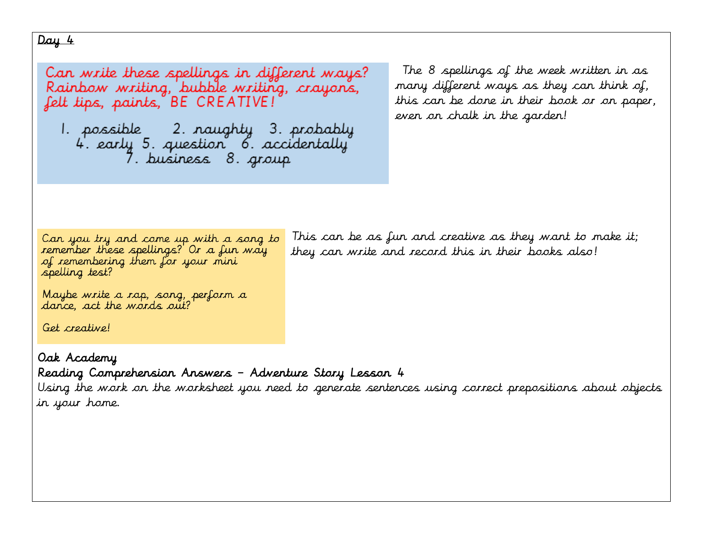Can write these spellings in different ways? Rainbow writing, bubble writing, crayons, felt tips, paints, BE CREATIVE!

The 8 spellings of the week written in as many different ways as they can think of, this can be done in their book or on paper, even on chalk in the garden!

Can you try and come up with a song to remember these spellings? Or a fun way of remembering them for your mini spelling test?

This can be as fun and creative as they want to make it; they can write and record this in their books also!

Maybe write a rap, song, perform a<br>dance, act the words out?

Get creative!

Oak Academy Reading Comprehension Answers – Adventure Story Lesson 4

Using the work on the worksheet you need to generate sentences using correct prepositions about objects in your home.